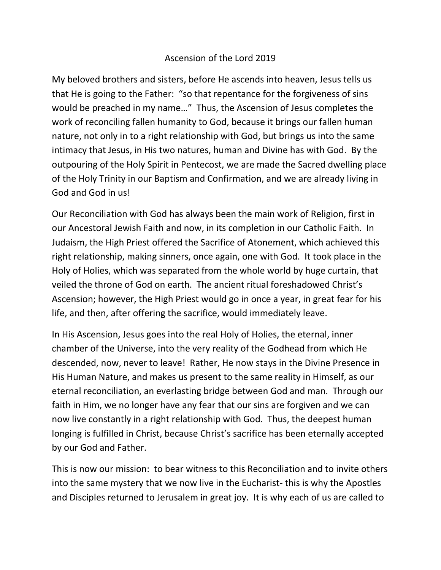## Ascension of the Lord 2019

My beloved brothers and sisters, before He ascends into heaven, Jesus tells us that He is going to the Father: "so that repentance for the forgiveness of sins would be preached in my name…" Thus, the Ascension of Jesus completes the work of reconciling fallen humanity to God, because it brings our fallen human nature, not only in to a right relationship with God, but brings us into the same intimacy that Jesus, in His two natures, human and Divine has with God. By the outpouring of the Holy Spirit in Pentecost, we are made the Sacred dwelling place of the Holy Trinity in our Baptism and Confirmation, and we are already living in God and God in us!

Our Reconciliation with God has always been the main work of Religion, first in our Ancestoral Jewish Faith and now, in its completion in our Catholic Faith. In Judaism, the High Priest offered the Sacrifice of Atonement, which achieved this right relationship, making sinners, once again, one with God. It took place in the Holy of Holies, which was separated from the whole world by huge curtain, that veiled the throne of God on earth. The ancient ritual foreshadowed Christ's Ascension; however, the High Priest would go in once a year, in great fear for his life, and then, after offering the sacrifice, would immediately leave.

In His Ascension, Jesus goes into the real Holy of Holies, the eternal, inner chamber of the Universe, into the very reality of the Godhead from which He descended, now, never to leave! Rather, He now stays in the Divine Presence in His Human Nature, and makes us present to the same reality in Himself, as our eternal reconciliation, an everlasting bridge between God and man. Through our faith in Him, we no longer have any fear that our sins are forgiven and we can now live constantly in a right relationship with God. Thus, the deepest human longing is fulfilled in Christ, because Christ's sacrifice has been eternally accepted by our God and Father.

This is now our mission: to bear witness to this Reconciliation and to invite others into the same mystery that we now live in the Eucharist- this is why the Apostles and Disciples returned to Jerusalem in great joy. It is why each of us are called to